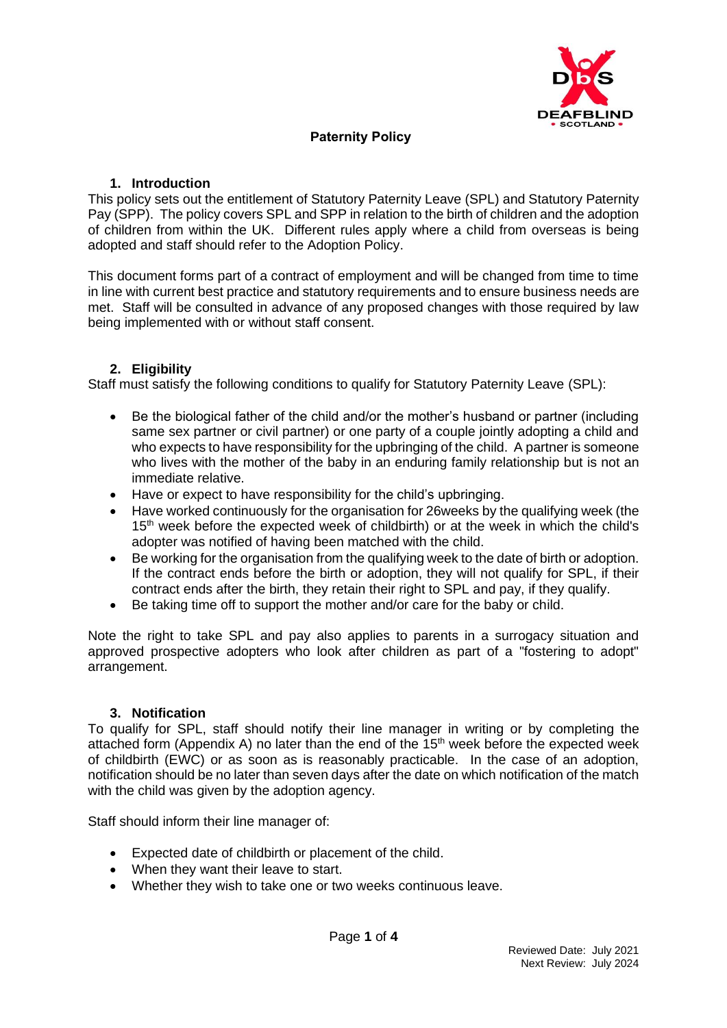

# **Paternity Policy**

#### **1. Introduction**

This policy sets out the entitlement of Statutory Paternity Leave (SPL) and Statutory Paternity Pay (SPP). The policy covers SPL and SPP in relation to the birth of children and the adoption of children from within the UK. Different rules apply where a child from overseas is being adopted and staff should refer to the Adoption Policy.

This document forms part of a contract of employment and will be changed from time to time in line with current best practice and statutory requirements and to ensure business needs are met. Staff will be consulted in advance of any proposed changes with those required by law being implemented with or without staff consent.

## **2. Eligibility**

Staff must satisfy the following conditions to qualify for Statutory Paternity Leave (SPL):

- Be the biological father of the child and/or the mother's husband or partner (including same sex partner or civil partner) or one party of a couple jointly adopting a child and who expects to have responsibility for the upbringing of the child. A partner is someone who lives with the mother of the baby in an enduring family relationship but is not an immediate relative.
- Have or expect to have responsibility for the child's upbringing.
- Have worked continuously for the organisation for 26weeks by the qualifying week (the 15<sup>th</sup> week before the expected week of childbirth) or at the week in which the child's adopter was notified of having been matched with the child.
- Be working for the organisation from the qualifying week to the date of birth or adoption. If the contract ends before the birth or adoption, they will not qualify for SPL, if their contract ends after the birth, they retain their right to SPL and pay, if they qualify.
- Be taking time off to support the mother and/or care for the baby or child.

Note the right to take SPL and pay also applies to parents in a surrogacy situation and approved prospective adopters who look after children as part of a "fostering to adopt" arrangement.

#### **3. Notification**

To qualify for SPL, staff should notify their line manager in writing or by completing the attached form (Appendix A) no later than the end of the  $15<sup>th</sup>$  week before the expected week of childbirth (EWC) or as soon as is reasonably practicable. In the case of an adoption, notification should be no later than seven days after the date on which notification of the match with the child was given by the adoption agency.

Staff should inform their line manager of:

- Expected date of childbirth or placement of the child.
- When they want their leave to start.
- Whether they wish to take one or two weeks continuous leave.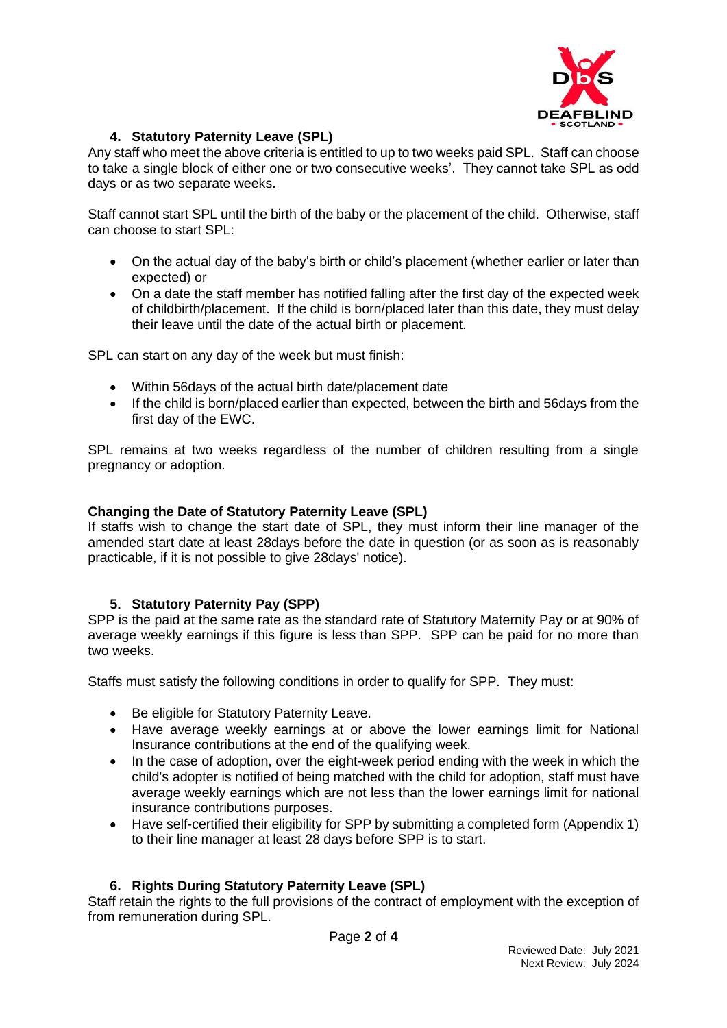

# **4. Statutory Paternity Leave (SPL)**

Any staff who meet the above criteria is entitled to up to two weeks paid SPL. Staff can choose to take a single block of either one or two consecutive weeks'. They cannot take SPL as odd days or as two separate weeks.

Staff cannot start SPL until the birth of the baby or the placement of the child. Otherwise, staff can choose to start SPL:

- On the actual day of the baby's birth or child's placement (whether earlier or later than expected) or
- On a date the staff member has notified falling after the first day of the expected week of childbirth/placement. If the child is born/placed later than this date, they must delay their leave until the date of the actual birth or placement.

SPL can start on any day of the week but must finish:

- Within 56days of the actual birth date/placement date
- If the child is born/placed earlier than expected, between the birth and 56days from the first day of the EWC.

SPL remains at two weeks regardless of the number of children resulting from a single pregnancy or adoption.

#### **Changing the Date of Statutory Paternity Leave (SPL)**

If staffs wish to change the start date of SPL, they must inform their line manager of the amended start date at least 28days before the date in question (or as soon as is reasonably practicable, if it is not possible to give 28days' notice).

## **5. Statutory Paternity Pay (SPP)**

SPP is the paid at the same rate as the standard rate of Statutory Maternity Pay or at 90% of average weekly earnings if this figure is less than SPP. SPP can be paid for no more than two weeks.

Staffs must satisfy the following conditions in order to qualify for SPP. They must:

- Be eligible for Statutory Paternity Leave.
- Have average weekly earnings at or above the lower earnings limit for National Insurance contributions at the end of the qualifying week.
- In the case of adoption, over the eight-week period ending with the week in which the child's adopter is notified of being matched with the child for adoption, staff must have average weekly earnings which are not less than the lower earnings limit for national insurance contributions purposes.
- Have self-certified their eligibility for SPP by submitting a completed form (Appendix 1) to their line manager at least 28 days before SPP is to start.

## **6. Rights During Statutory Paternity Leave (SPL)**

Staff retain the rights to the full provisions of the contract of employment with the exception of from remuneration during SPL.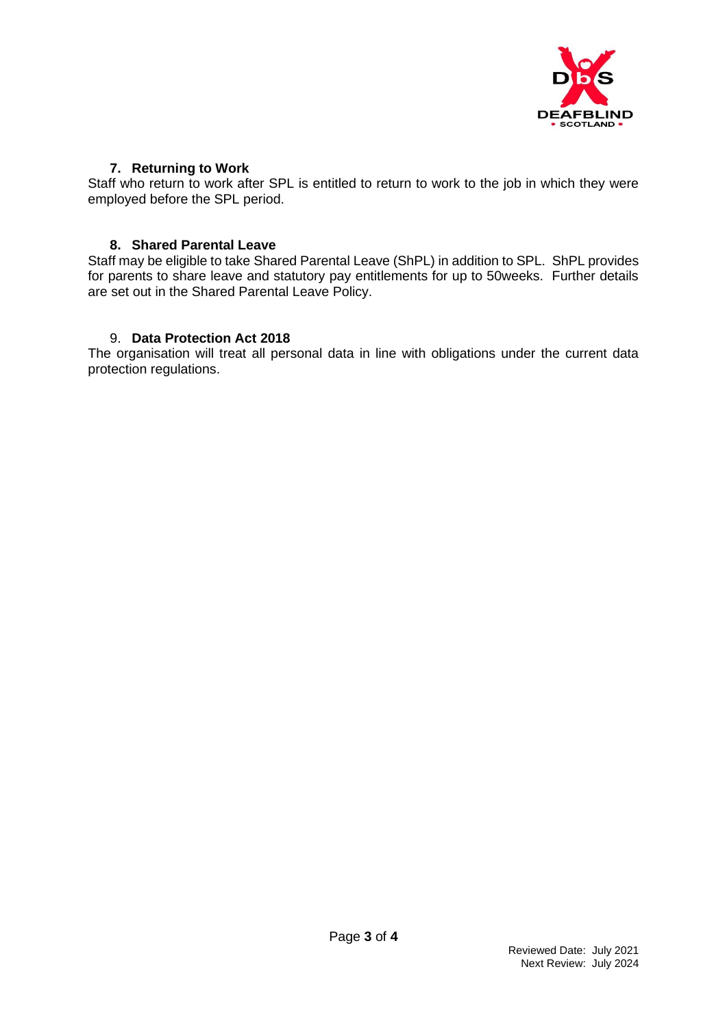

#### **7. Returning to Work**

Staff who return to work after SPL is entitled to return to work to the job in which they were employed before the SPL period.

#### **8. Shared Parental Leave**

Staff may be eligible to take Shared Parental Leave (ShPL) in addition to SPL. ShPL provides for parents to share leave and statutory pay entitlements for up to 50weeks. Further details are set out in the Shared Parental Leave Policy.

## 9. **Data Protection Act 2018**

The organisation will treat all personal data in line with obligations under the current data protection regulations.